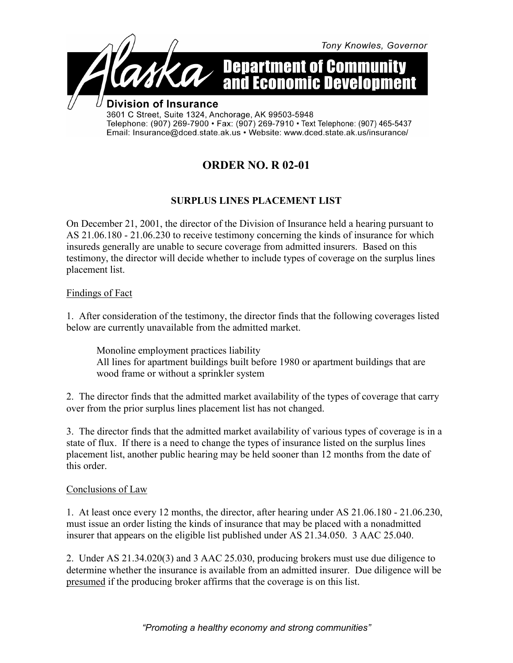

## **ORDER NO. R 02-01**

## **SURPLUS LINES PLACEMENT LIST**

On December 21, 2001, the director of the Division of Insurance held a hearing pursuant to AS 21.06.180 - 21.06.230 to receive testimony concerning the kinds of insurance for which insureds generally are unable to secure coverage from admitted insurers. Based on this testimony, the director will decide whether to include types of coverage on the surplus lines placement list.

Findings of Fact

1. After consideration of the testimony, the director finds that the following coverages listed below are currently unavailable from the admitted market.

Monoline employment practices liability All lines for apartment buildings built before 1980 or apartment buildings that are wood frame or without a sprinkler system

2. The director finds that the admitted market availability of the types of coverage that carry over from the prior surplus lines placement list has not changed.

3. The director finds that the admitted market availability of various types of coverage is in a state of flux. If there is a need to change the types of insurance listed on the surplus lines placement list, another public hearing may be held sooner than 12 months from the date of this order.

## Conclusions of Law

1. At least once every 12 months, the director, after hearing under AS 21.06.180 - 21.06.230, must issue an order listing the kinds of insurance that may be placed with a nonadmitted insurer that appears on the eligible list published under AS 21.34.050. 3 AAC 25.040.

2. Under AS 21.34.020(3) and 3 AAC 25.030, producing brokers must use due diligence to determine whether the insurance is available from an admitted insurer. Due diligence will be presumed if the producing broker affirms that the coverage is on this list.